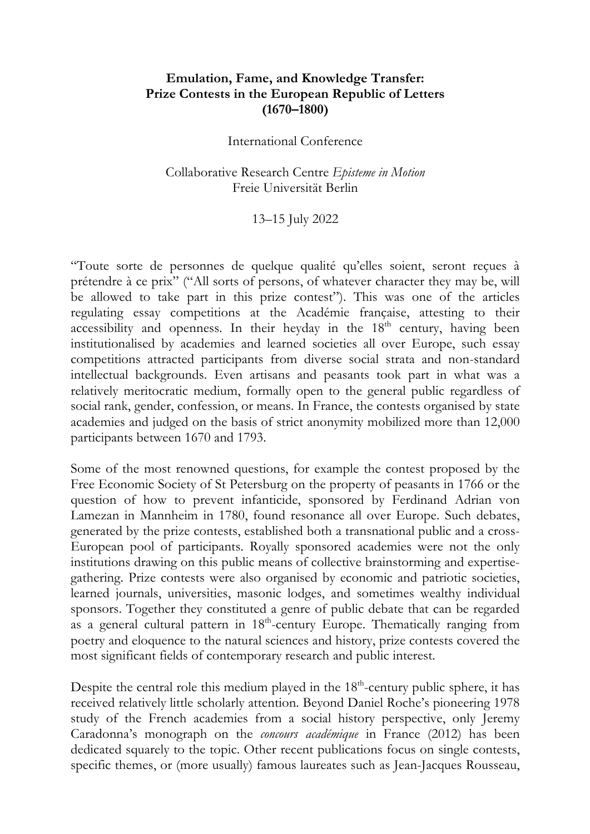## **Emulation, Fame, and Knowledge Transfer: Prize Contests in the European Republic of Letters (1670–1800)**

## International Conference

## Collaborative Research Centre *Episteme in Motion* Freie Universität Berlin

## 13–15 July 2022

"Toute sorte de personnes de quelque qualité qu'elles soient, seront reçues à prétendre à ce prix" ("All sorts of persons, of whatever character they may be, will be allowed to take part in this prize contest"). This was one of the articles regulating essay competitions at the Académie française, attesting to their accessibility and openness. In their heyday in the  $18<sup>th</sup>$  century, having been institutionalised by academies and learned societies all over Europe, such essay competitions attracted participants from diverse social strata and non-standard intellectual backgrounds. Even artisans and peasants took part in what was a relatively meritocratic medium, formally open to the general public regardless of social rank, gender, confession, or means. In France, the contests organised by state academies and judged on the basis of strict anonymity mobilized more than 12,000 participants between 1670 and 1793.

Some of the most renowned questions, for example the contest proposed by the Free Economic Society of St Petersburg on the property of peasants in 1766 or the question of how to prevent infanticide, sponsored by Ferdinand Adrian von Lamezan in Mannheim in 1780, found resonance all over Europe. Such debates, generated by the prize contests, established both a transnational public and a cross-European pool of participants. Royally sponsored academies were not the only institutions drawing on this public means of collective brainstorming and expertisegathering. Prize contests were also organised by economic and patriotic societies, learned journals, universities, masonic lodges, and sometimes wealthy individual sponsors. Together they constituted a genre of public debate that can be regarded as a general cultural pattern in 18<sup>th</sup>-century Europe. Thematically ranging from poetry and eloquence to the natural sciences and history, prize contests covered the most significant fields of contemporary research and public interest.

Despite the central role this medium played in the  $18<sup>th</sup>$ -century public sphere, it has received relatively little scholarly attention. Beyond Daniel Roche's pioneering 1978 study of the French academies from a social history perspective, only Jeremy Caradonna's monograph on the *concours académique* in France (2012) has been dedicated squarely to the topic. Other recent publications focus on single contests, specific themes, or (more usually) famous laureates such as Jean-Jacques Rousseau,